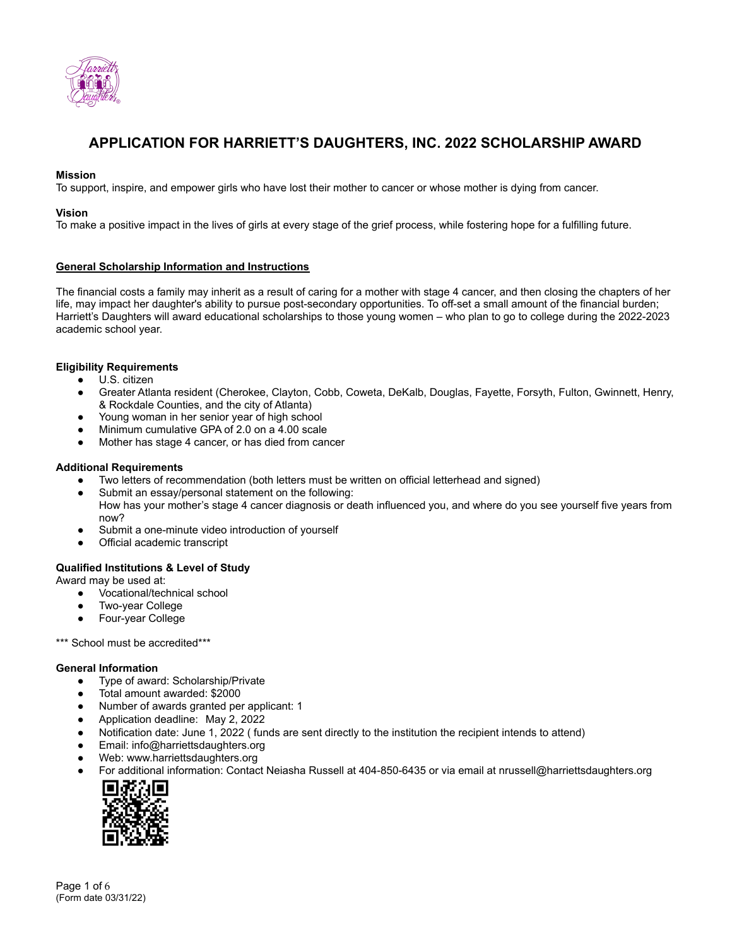

# **APPLICATION FOR HARRIETT'S DAUGHTERS, INC. 2022 SCHOLARSHIP AWARD**

### **Mission**

To support, inspire, and empower girls who have lost their mother to cancer or whose mother is dying from cancer.

#### **Vision**

To make a positive impact in the lives of girls at every stage of the grief process, while fostering hope for a fulfilling future.

#### **General Scholarship Information and Instructions**

The financial costs a family may inherit as a result of caring for a mother with stage 4 cancer, and then closing the chapters of her life, may impact her daughter's ability to pursue post-secondary opportunities. To off-set a small amount of the financial burden; Harriett's Daughters will award educational scholarships to those young women – who plan to go to college during the 2022-2023 academic school year.

### **Eligibility Requirements**

- U.S. citizen
- Greater Atlanta resident (Cherokee, Clayton, Cobb, Coweta, DeKalb, Douglas, Fayette, Forsyth, Fulton, Gwinnett, Henry, & Rockdale Counties, and the city of Atlanta)
- Young woman in her senior year of high school
- Minimum cumulative GPA of 2.0 on a 4.00 scale
- Mother has stage 4 cancer, or has died from cancer

#### **Additional Requirements**

- Two letters of recommendation (both letters must be written on official letterhead and signed)
- Submit an essay/personal statement on the following:
	- How has your mother's stage 4 cancer diagnosis or death influenced you, and where do you see yourself five years from now?
- Submit a one-minute video introduction of yourself
- Official academic transcript

### **Qualified Institutions & Level of Study**

Award may be used at:

- Vocational/technical school
- Two-year College
- Four-year College

\*\*\* School must be accredited\*\*\*

#### **General Information**

- Type of award: Scholarship/Private
- Total amount awarded: \$2000
- Number of awards granted per applicant: 1
- Application deadline: May 2, 2022
- Notification date: June 1, 2022 ( funds are sent directly to the institution the recipient intends to attend)
- Email: info@harriettsdaughters.org
- Web: www.harriettsdaughters.org
- For additional information: Contact Neiasha Russell at 404-850-6435 or via email at nrussell@harriettsdaughters.org

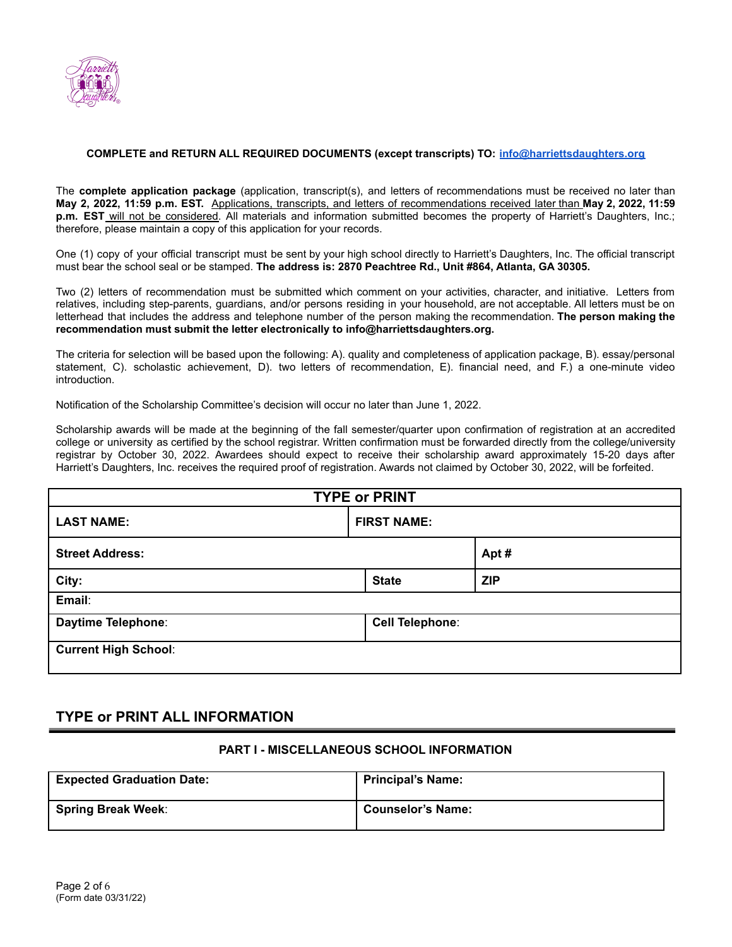

### **COMPLETE and RETURN ALL REQUIRED DOCUMENTS (except transcripts) TO: [info@harriettsdaughters.org](mailto:info@harriettsdaughters.org)**

The **complete application package** (application, transcript(s), and letters of recommendations must be received no later than **May 2, 2022, 11:59 p.m. EST.** Applications, transcripts, and letters of recommendations received later than **May 2, 2022, 11:59 p.m. EST** will not be considered. All materials and information submitted becomes the property of Harriett's Daughters, Inc.; therefore, please maintain a copy of this application for your records.

One (1) copy of your official transcript must be sent by your high school directly to Harriett's Daughters, Inc. The official transcript must bear the school seal or be stamped. **The address is: 2870 Peachtree Rd., Unit #864, Atlanta, GA 30305.**

Two (2) letters of recommendation must be submitted which comment on your activities, character, and initiative. Letters from relatives, including step-parents, guardians, and/or persons residing in your household, are not acceptable. All letters must be on letterhead that includes the address and telephone number of the person making the recommendation. **The person making the recommendation must submit the letter electronically to info@harriettsdaughters.org.**

The criteria for selection will be based upon the following: A). quality and completeness of application package, B). essay/personal statement, C). scholastic achievement, D). two letters of recommendation, E). financial need, and F.) a one-minute video introduction.

Notification of the Scholarship Committee's decision will occur no later than June 1, 2022.

Scholarship awards will be made at the beginning of the fall semester/quarter upon confirmation of registration at an accredited college or university as certified by the school registrar. Written confirmation must be forwarded directly from the college/university registrar by October 30, 2022. Awardees should expect to receive their scholarship award approximately 15-20 days after Harriett's Daughters, Inc. receives the required proof of registration. Awards not claimed by October 30, 2022, will be forfeited.

| <b>TYPE or PRINT</b>        |                        |            |  |  |
|-----------------------------|------------------------|------------|--|--|
| <b>LAST NAME:</b>           | <b>FIRST NAME:</b>     |            |  |  |
| <b>Street Address:</b>      |                        | Apt#       |  |  |
| City:                       | <b>State</b>           | <b>ZIP</b> |  |  |
| Email:                      |                        |            |  |  |
| Daytime Telephone:          | <b>Cell Telephone:</b> |            |  |  |
| <b>Current High School:</b> |                        |            |  |  |

## **TYPE or PRINT ALL INFORMATION**

### **PART I - MISCELLANEOUS SCHOOL INFORMATION**

| <b>Expected Graduation Date:</b> | Principal's Name:        |  |  |  |
|----------------------------------|--------------------------|--|--|--|
| <b>Spring Break Week:</b>        | <b>Counselor's Name:</b> |  |  |  |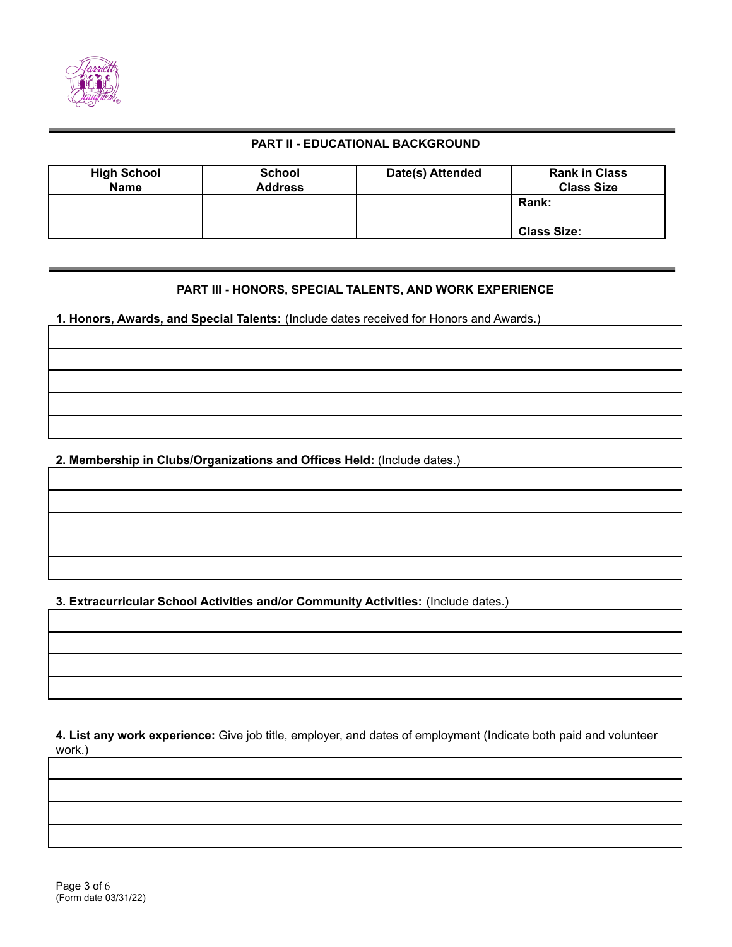

## **PART II - EDUCATIONAL BACKGROUND**

| <b>High School</b><br><b>Name</b> | <b>School</b><br><b>Address</b> | Date(s) Attended | <b>Rank in Class</b><br><b>Class Size</b> |
|-----------------------------------|---------------------------------|------------------|-------------------------------------------|
|                                   |                                 |                  | <b>Rank:</b>                              |
|                                   |                                 |                  | <b>Class Size:</b>                        |

## **PART III - HONORS, SPECIAL TALENTS, AND WORK EXPERIENCE**

**1. Honors, Awards, and Special Talents:** (Include dates received for Honors and Awards.)

**2. Membership in Clubs/Organizations and Offices Held:** (Include dates.)

**3. Extracurricular School Activities and/or Community Activities:** (Include dates.)

**4. List any work experience:** Give job title, employer, and dates of employment (Indicate both paid and volunteer work.)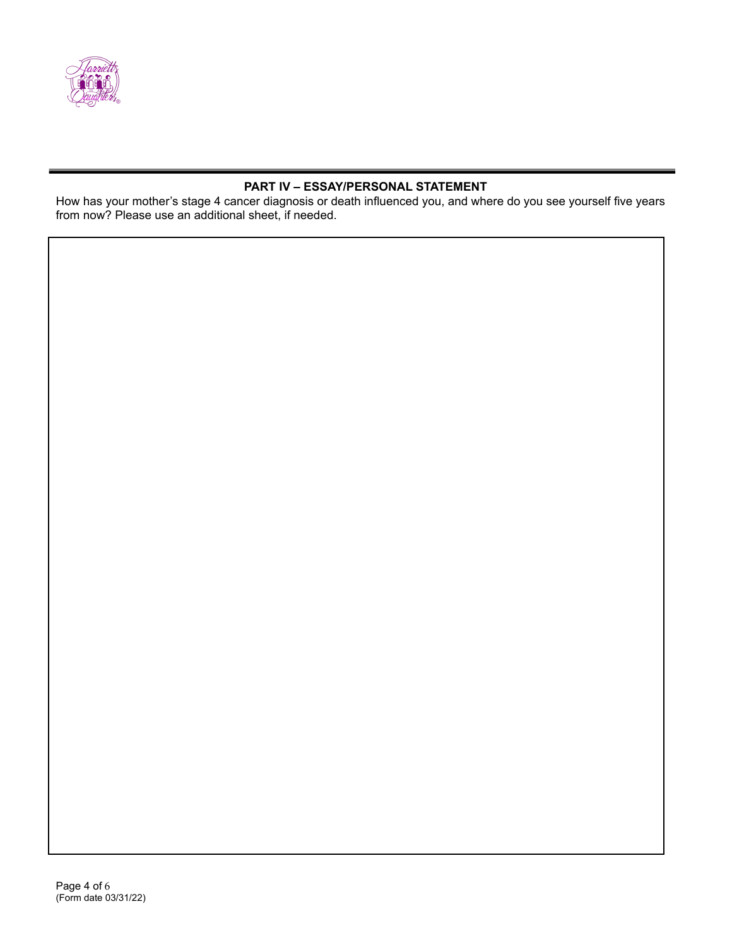

## **PART IV – ESSAY/PERSONAL STATEMENT**

How has your mother's stage 4 cancer diagnosis or death influenced you, and where do you see yourself five years from now? Please use an additional sheet, if needed.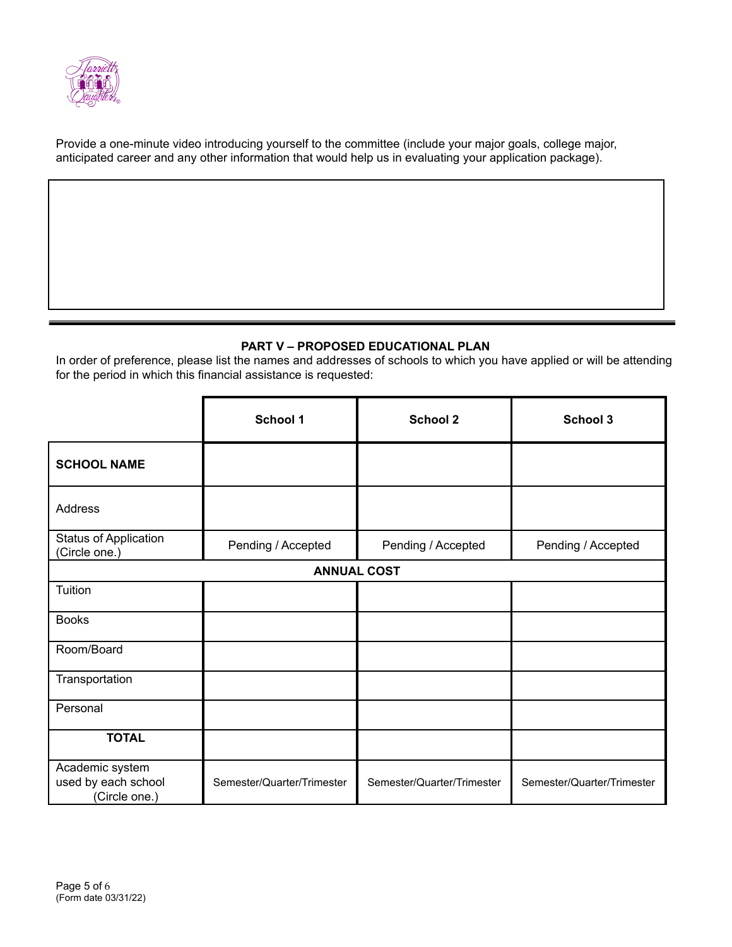

Provide a one-minute video introducing yourself to the committee (include your major goals, college major, anticipated career and any other information that would help us in evaluating your application package).

## **PART V – PROPOSED EDUCATIONAL PLAN**

In order of preference, please list the names and addresses of schools to which you have applied or will be attending for the period in which this financial assistance is requested:

|                                                                     | School 1                   | <b>School 2</b>            | School 3                   |  |  |  |  |
|---------------------------------------------------------------------|----------------------------|----------------------------|----------------------------|--|--|--|--|
| <b>SCHOOL NAME</b>                                                  |                            |                            |                            |  |  |  |  |
| <b>Address</b>                                                      |                            |                            |                            |  |  |  |  |
| <b>Status of Application</b><br>Pending / Accepted<br>(Circle one.) |                            | Pending / Accepted         | Pending / Accepted         |  |  |  |  |
| <b>ANNUAL COST</b>                                                  |                            |                            |                            |  |  |  |  |
| Tuition                                                             |                            |                            |                            |  |  |  |  |
| <b>Books</b>                                                        |                            |                            |                            |  |  |  |  |
| Room/Board                                                          |                            |                            |                            |  |  |  |  |
| Transportation                                                      |                            |                            |                            |  |  |  |  |
| Personal                                                            |                            |                            |                            |  |  |  |  |
| <b>TOTAL</b>                                                        |                            |                            |                            |  |  |  |  |
| Academic system<br>used by each school<br>(Circle one.)             | Semester/Quarter/Trimester | Semester/Quarter/Trimester | Semester/Quarter/Trimester |  |  |  |  |